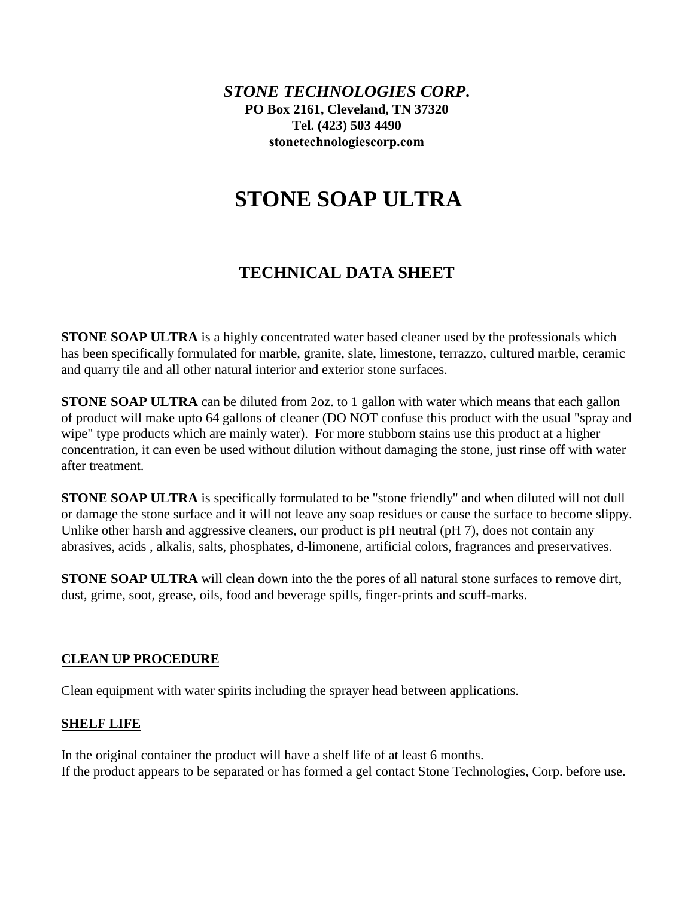*STONE TECHNOLOGIES CORP***. PO Box 2161, Cleveland, TN 37320 Tel. (423) 503 4490 [stonetechnologiescorp.com](http://www.stonetechnologiesinc.com/)**

# **STONE SOAP ULTRA**

# **TECHNICAL DATA SHEET**

**STONE SOAP ULTRA** is a highly concentrated water based cleaner used by the professionals which has been specifically formulated for marble, granite, slate, limestone, terrazzo, cultured marble, ceramic and quarry tile and all other natural interior and exterior stone surfaces.

**STONE SOAP ULTRA** can be diluted from 2oz. to 1 gallon with water which means that each gallon of product will make upto 64 gallons of cleaner (DO NOT confuse this product with the usual "spray and wipe" type products which are mainly water). For more stubborn stains use this product at a higher concentration, it can even be used without dilution without damaging the stone, just rinse off with water after treatment.

**STONE SOAP ULTRA** is specifically formulated to be "stone friendly" and when diluted will not dull or damage the stone surface and it will not leave any soap residues or cause the surface to become slippy. Unlike other harsh and aggressive cleaners, our product is pH neutral (pH 7), does not contain any abrasives, acids , alkalis, salts, phosphates, d-limonene, artificial colors, fragrances and preservatives.

**STONE SOAP ULTRA** will clean down into the the pores of all natural stone surfaces to remove dirt, dust, grime, soot, grease, oils, food and beverage spills, finger-prints and scuff-marks.

# **CLEAN UP PROCEDURE**

Clean equipment with water spirits including the sprayer head between applications.

# **SHELF LIFE**

In the original container the product will have a shelf life of at least 6 months. If the product appears to be separated or has formed a gel contact Stone Technologies, Corp. before use.